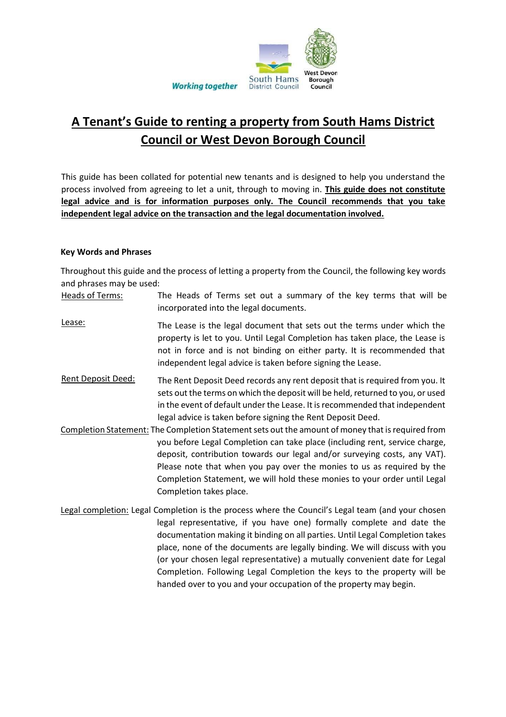

# **A Tenant's Guide to renting a property from South Hams District Council or West Devon Borough Council**

This guide has been collated for potential new tenants and is designed to help you understand the process involved from agreeing to let a unit, through to moving in. **This guide does not constitute legal advice and is for information purposes only. The Council recommends that you take independent legal advice on the transaction and the legal documentation involved.**

#### **Key Words and Phrases**

Throughout this guide and the process of letting a property from the Council, the following key words and phrases may be used:

- Heads of Terms: The Heads of Terms set out a summary of the key terms that will be incorporated into the legal documents.
- Lease: The Lease is the legal document that sets out the terms under which the property is let to you. Until Legal Completion has taken place, the Lease is not in force and is not binding on either party. It is recommended that independent legal advice is taken before signing the Lease.
- Rent Deposit Deed: The Rent Deposit Deed records any rent deposit that is required from you. It sets out the terms on which the deposit will be held, returned to you, or used in the event of default under the Lease. It is recommended that independent legal advice is taken before signing the Rent Deposit Deed.
- Completion Statement: The Completion Statement sets out the amount of money that is required from you before Legal Completion can take place (including rent, service charge, deposit, contribution towards our legal and/or surveying costs, any VAT). Please note that when you pay over the monies to us as required by the Completion Statement, we will hold these monies to your order until Legal Completion takes place.
- Legal completion: Legal Completion is the process where the Council's Legal team (and your chosen legal representative, if you have one) formally complete and date the documentation making it binding on all parties. Until Legal Completion takes place, none of the documents are legally binding. We will discuss with you (or your chosen legal representative) a mutually convenient date for Legal Completion. Following Legal Completion the keys to the property will be handed over to you and your occupation of the property may begin.